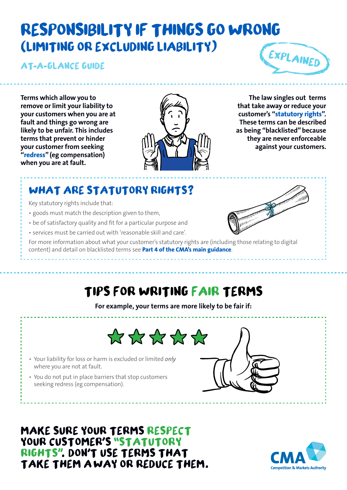# **RESPONSIBILITY IF THINGS GO WRONG**  (**LIMITING OR EXCLUDING LIABILITY**)

**AT A GLANCE GUIDE**

EXPLAINED

**Terms which allow you to remove or limit your liability to your customers when you are at fault and things go wrong are likely to be unfair. This includes terms that prevent or hinder your customer from seeking "redress" (eg compensation) when you are at fault.**



**The law singles out terms that take away or reduce your customer's "statutory rights". These terms can be described as being "blacklisted" because they are never enforceable against your customers.** 

## **WHAT ARE STATUTORY RIGHTS**?

Key statutory rights include that:

- goods must match the description given to them,
- be of satisfactory quality and fit for a particular purpose and
- services must be carried out with 'reasonable skill and care'.

For more information about what your customer's statutory rights are (including those relating to digital content) and detail on blacklisted terms see **[Part 4 of the CMA's main guidance](https://www.gov.uk/government/publications/unfair-contract-terms-cma37)**.

## **TIPS FOR WRITING FAIR TERMS**

**For example, your terms are more likely to be fair if:**





- Your liability for loss or harm is excluded or limited *only* where you are not at fault.
- You do not put in place barriers that stop customers seeking redress (eg compensation).

**MAKE SURE YOUR TERMS RESPECT** YOUR CUSTOMER'S "STATUTORY **RIGHTS". DON'T USE TERMS THAT TAKE THEM A WAY OR REDUCE THEM**